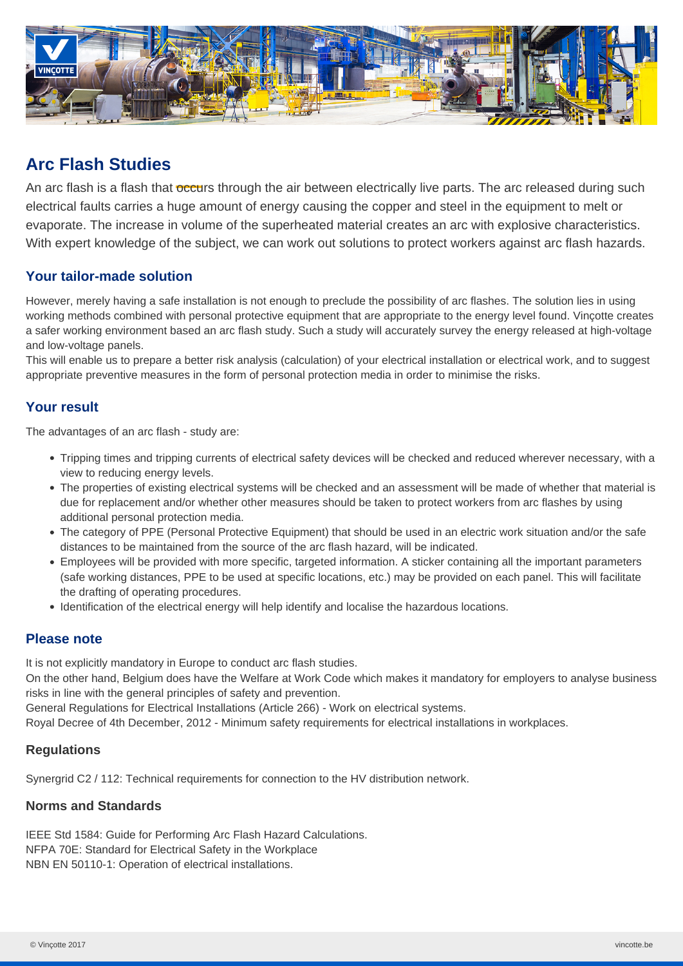

# **Arc Flash Studies**

An arc flash is a flash that occurs through the air between electrically live parts. The arc released during such electrical faults carries a huge amount of energy causing the copper and steel in the equipment to melt or evaporate. The increase in volume of the superheated material creates an arc with explosive characteristics. With expert knowledge of the subject, we can work out solutions to protect workers against arc flash hazards.

### **Your tailor-made solution**

However, merely having a safe installation is not enough to preclude the possibility of arc flashes. The solution lies in using working methods combined with personal protective equipment that are appropriate to the energy level found. Vinçotte creates a safer working environment based an arc flash study. Such a study will accurately survey the energy released at high-voltage and low-voltage panels.

This will enable us to prepare a better risk analysis (calculation) of your electrical installation or electrical work, and to suggest appropriate preventive measures in the form of personal protection media in order to minimise the risks.

### **Your result**

The advantages of an arc flash - study are:

- Tripping times and tripping currents of electrical safety devices will be checked and reduced wherever necessary, with a view to reducing energy levels.
- The properties of existing electrical systems will be checked and an assessment will be made of whether that material is due for replacement and/or whether other measures should be taken to protect workers from arc flashes by using additional personal protection media.
- The category of PPE (Personal Protective Equipment) that should be used in an electric work situation and/or the safe distances to be maintained from the source of the arc flash hazard, will be indicated.
- Employees will be provided with more specific, targeted information. A sticker containing all the important parameters (safe working distances, PPE to be used at specific locations, etc.) may be provided on each panel. This will facilitate the drafting of operating procedures.
- Identification of the electrical energy will help identify and localise the hazardous locations.

### **Please note**

It is not explicitly mandatory in Europe to conduct arc flash studies.

On the other hand, Belgium does have the Welfare at Work Code which makes it mandatory for employers to analyse business risks in line with the general principles of safety and prevention.

General Regulations for Electrical Installations (Article 266) - Work on electrical systems.

Royal Decree of 4th December, 2012 - Minimum safety requirements for electrical installations in workplaces.

#### **Regulations**

Synergrid C2 / 112: Technical requirements for connection to the HV distribution network.

#### **Norms and Standards**

IEEE Std 1584: Guide for Performing Arc Flash Hazard Calculations. NFPA 70E: Standard for Electrical Safety in the Workplace NBN EN 50110-1: Operation of electrical installations.